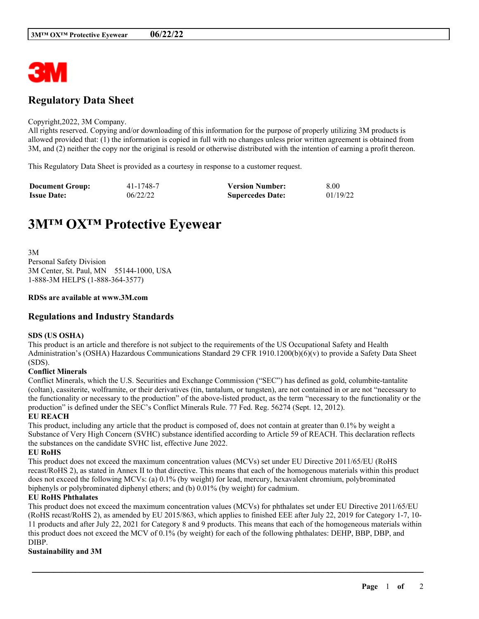

# **Regulatory Data Sheet**

#### Copyright,2022, 3M Company.

All rights reserved. Copying and/or downloading of this information for the purpose of properly utilizing 3M products is allowed provided that: (1) the information is copied in full with no changes unless prior written agreement is obtained from 3M, and (2) neither the copy nor the original is resold or otherwise distributed with the intention of earning a profit thereon.

This Regulatory Data Sheet is provided as a courtesy in response to a customer request.

| <b>Document Group:</b> | 41-1748-7 | <b>Version Number:</b>  | 8.00     |
|------------------------|-----------|-------------------------|----------|
| <b>Issue Date:</b>     | 06/22/22  | <b>Supercedes Date:</b> | 01/19/22 |

# **3M™ OX™ Protective Eyewear**

3M Personal Safety Division 3M Center, St. Paul, MN 55144-1000, USA 1-888-3M HELPS (1-888-364-3577)

#### **RDSs are available at www.3M.com**

### **Regulations and Industry Standards**

#### **SDS (US OSHA)**

This product is an article and therefore is not subject to the requirements of the US Occupational Safety and Health Administration's (OSHA) Hazardous Communications Standard 29 CFR 1910.1200(b)(6)(v) to provide a Safety Data Sheet (SDS).

#### **Conflict Minerals**

Conflict Minerals, which the U.S. Securities and Exchange Commission ("SEC") has defined as gold, columbite-tantalite (coltan), cassiterite, wolframite, or their derivatives (tin, tantalum, or tungsten), are not contained in or are not "necessary to the functionality or necessary to the production" of the above-listed product, as the term "necessary to the functionality or the production" is defined under the SEC's Conflict Minerals Rule. 77 Fed. Reg. 56274 (Sept. 12, 2012).

#### **EU REACH**

This product, including any article that the product is composed of, does not contain at greater than 0.1% by weight a Substance of Very High Concern (SVHC) substance identified according to Article 59 of REACH. This declaration reflects the substances on the candidate SVHC list, effective June 2022.

#### **EU RoHS**

This product does not exceed the maximum concentration values (MCVs) set under EU Directive 2011/65/EU (RoHS recast/RoHS 2), as stated in Annex II to that directive. This means that each of the homogenous materials within this product does not exceed the following MCVs: (a) 0.1% (by weight) for lead, mercury, hexavalent chromium, polybrominated biphenyls or polybrominated diphenyl ethers; and (b) 0.01% (by weight) for cadmium.

#### **EU RoHS Phthalates**

This product does not exceed the maximum concentration values (MCVs) for phthalates set under EU Directive 2011/65/EU (RoHS recast/RoHS 2), as amended by EU 2015/863, which applies to finished EEE after July 22, 2019 for Category 1-7, 10- 11 products and after July 22, 2021 for Category 8 and 9 products. This means that each of the homogeneous materials within this product does not exceed the MCV of 0.1% (by weight) for each of the following phthalates: DEHP, BBP, DBP, and DIBP.

\_\_\_\_\_\_\_\_\_\_\_\_\_\_\_\_\_\_\_\_\_\_\_\_\_\_\_\_\_\_\_\_\_\_\_\_\_\_\_\_\_\_\_\_\_\_\_\_\_\_\_\_\_\_\_\_\_\_\_\_\_\_\_\_\_\_\_\_\_\_\_\_\_\_\_\_\_\_\_\_\_\_\_\_\_\_\_\_\_\_

#### **Sustainability and 3M**